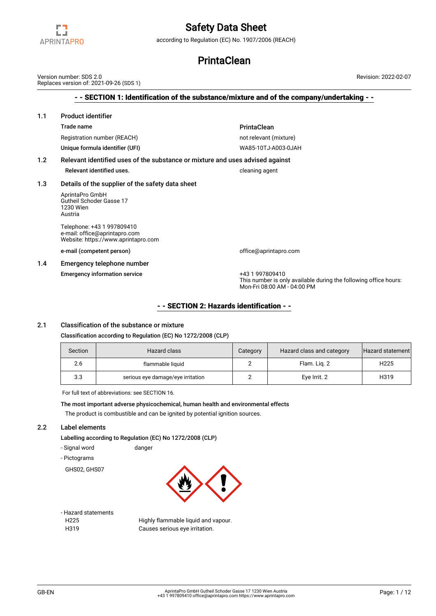

according to Regulation (EC) No. 1907/2006 (REACH)

## **PrintaClean**

- - SECTION 1: Identification of the substance/mixture and of the company/undertaking - - 1.1 Product identifier Trade name **PrintaClean** Registration number (REACH) not relevant (mixture) Unique formula identifier (UFI) WA85-10TJ-A003-0JAH 1.2 Relevant identified uses of the substance or mixture and uses advised against Relevant identified uses. The cleaning agent cleaning agent 1.3 Details of the supplier of the safety data sheet AprintaPro GmbH Gutheil Schoder Gasse 17 1230 Wien Austria Telephone: +43 1 997809410 e-mail: office@aprintapro.com Website: https://www.aprintapro.com e-mail (competent person) and the competent of fice@aprintapro.com 1.4 Emergency telephone number Emergency information service +43 1 997809410 This number is only available during the following office hours: Mon-Fri 08:00 AM - 04:00 PM Version number: SDS 2.0 Replaces version of: 2021-09-26 (SDS 1) Revision: 2022-02-07

## - - SECTION 2: Hazards identification - -

## 2.1 Classification of the substance or mixture

### Classification according to Regulation (EC) No 1272/2008 (CLP)

| Section | Hazard class                      | Category | Hazard class and category | Hazard statement |
|---------|-----------------------------------|----------|---------------------------|------------------|
| 2.6     | flammable liquid                  |          | Flam. Lig. 2              | H <sub>225</sub> |
| 3.3     | serious eye damage/eye irritation |          | Eye Irrit. 2              | H319             |

For full text of abbreviations: see SECTION 16.

The most important adverse physicochemical, human health and environmental effects The product is combustible and can be ignited by potential ignition sources.

### 2.2 Label elements

Labelling according to Regulation (EC) No 1272/2008 (CLP)

- Signal word danger
- Pictograms
- GHS02, GHS07



- Hazard statements
- 

H225 Highly flammable liquid and vapour. H319 Causes serious eye irritation.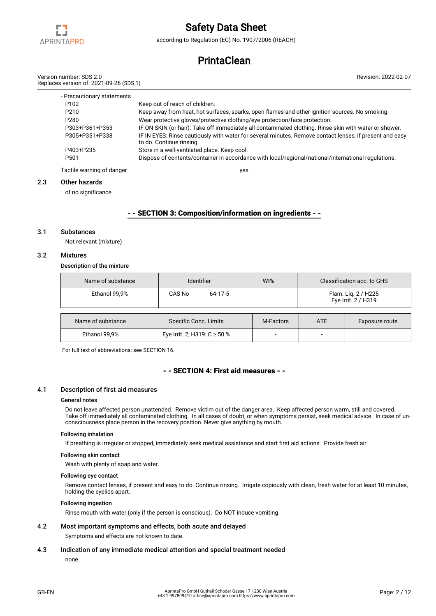

according to Regulation (EC) No. 1907/2006 (REACH)

# **PrintaClean**

|    | Version number: SDS 2.0<br>Replaces version of: 2021-09-26 (SDS 1) | Revision: 2022-02-07                                                                                                                |
|----|--------------------------------------------------------------------|-------------------------------------------------------------------------------------------------------------------------------------|
|    | - Precautionary statements                                         |                                                                                                                                     |
|    | P <sub>102</sub>                                                   | Keep out of reach of children.                                                                                                      |
|    | P <sub>210</sub>                                                   | Keep away from heat, hot surfaces, sparks, open flames and other ignition sources. No smoking.                                      |
|    | P <sub>280</sub>                                                   | Wear protective gloves/protective clothing/eye protection/face protection.                                                          |
|    | P303+P361+P353                                                     | IF ON SKIN (or hair): Take off immediately all contaminated clothing. Rinse skin with water or shower.                              |
|    | P305+P351+P338                                                     | IF IN EYES: Rinse cautiously with water for several minutes. Remove contact lenses, if present and easy<br>to do. Continue rinsing. |
|    | P403+P235                                                          | Store in a well-ventilated place. Keep cool.                                                                                        |
|    | P <sub>501</sub>                                                   | Dispose of contents/container in accordance with local/regional/national/international regulations.                                 |
|    | Tactile warning of danger                                          | yes                                                                                                                                 |
| າາ | Othor hozardo                                                      |                                                                                                                                     |

#### 2.3 Other hazards

of no significance

### - - SECTION 3: Composition/information on ingredients - -

#### 3.1 Substances

Not relevant (mixture)

## 3.2 Mixtures

Description of the mixture

| Name of substance | <b>Identifier</b>                | Wt%       |                                            | Classification acc. to GHS |  |  |
|-------------------|----------------------------------|-----------|--------------------------------------------|----------------------------|--|--|
| Ethanol 99,9%     | 64-17-5<br>CAS No                |           | Flam. Lig. 2 / H225<br>Eye Irrit. 2 / H319 |                            |  |  |
|                   |                                  |           |                                            |                            |  |  |
| Name of substance | Specific Conc. Limits            | M-Factors | <b>ATE</b>                                 | Exposure route             |  |  |
| Ethanol 99,9%     | Eye Irrit. 2; H319: $C \ge 50$ % |           | -                                          |                            |  |  |

For full text of abbreviations: see SECTION 16.

### - - SECTION 4: First aid measures - -

#### 4.1 Description of first aid measures

### General notes

Do not leave affected person unattended. Remove victim out of the danger area. Keep affected person warm, still and covered. Take off immediately all contaminated clothing. In all cases of doubt, or when symptoms persist, seek medical advice. In case of unconsciousness place person in the recovery position. Never give anything by mouth.

#### Following inhalation

If breathing is irregular or stopped, immediately seek medical assistance and start first aid actions. Provide fresh air.

#### Following skin contact

Wash with plenty of soap and water.

#### Following eye contact

Remove contact lenses, if present and easy to do. Continue rinsing. Irrigate copiously with clean, fresh water for at least 10 minutes, holding the eyelids apart.

#### Following ingestion

Rinse mouth with water (only if the person is conscious). Do NOT induce vomiting.

## 4.2 Most important symptoms and effects, both acute and delayed

Symptoms and effects are not known to date.

### 4.3 Indication of any immediate medical attention and special treatment needed

none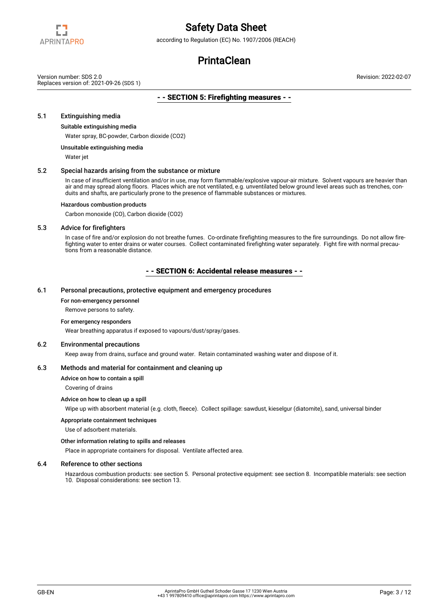

according to Regulation (EC) No. 1907/2006 (REACH)

# **PrintaClean**

Version number: SDS 2.0 Replaces version of: 2021-09-26 (SDS 1) Revision: 2022-02-07

## - - SECTION 5: Firefighting measures - -

## 5.1 Extinguishing media

#### Suitable extinguishing media

Water spray, BC-powder, Carbon dioxide (CO2)

### Unsuitable extinguishing media

Water jet

#### 5.2 Special hazards arising from the substance or mixture

In case of insufficient ventilation and/or in use, may form flammable/explosive vapour-air mixture. Solvent vapours are heavier than air and may spread along floors. Places which are not ventilated, e.g. unventilated below ground level areas such as trenches, conduits and shafts, are particularly prone to the presence of flammable substances or mixtures.

### Hazardous combustion products

Carbon monoxide (CO), Carbon dioxide (CO2)

#### 5.3 Advice for firefighters

In case of fire and/or explosion do not breathe fumes. Co-ordinate firefighting measures to the fire surroundings. Do not allow firefighting water to enter drains or water courses. Collect contaminated firefighting water separately. Fight fire with normal precautions from a reasonable distance.

## - - SECTION 6: Accidental release measures - -

#### 6.1 Personal precautions, protective equipment and emergency procedures

#### For non-emergency personnel

Remove persons to safety.

#### For emergency responders

Wear breathing apparatus if exposed to vapours/dust/spray/gases.

#### 6.2 Environmental precautions

Keep away from drains, surface and ground water. Retain contaminated washing water and dispose of it.

#### 6.3 Methods and material for containment and cleaning up

Advice on how to contain a spill

Covering of drains

### Advice on how to clean up a spill

Wipe up with absorbent material (e.g. cloth, fleece). Collect spillage: sawdust, kieselgur (diatomite), sand, universal binder

#### Appropriate containment techniques

Use of adsorbent materials.

#### Other information relating to spills and releases

Place in appropriate containers for disposal. Ventilate affected area.

#### 6.4 Reference to other sections

Hazardous combustion products: see section 5. Personal protective equipment: see section 8. Incompatible materials: see section 10. Disposal considerations: see section 13.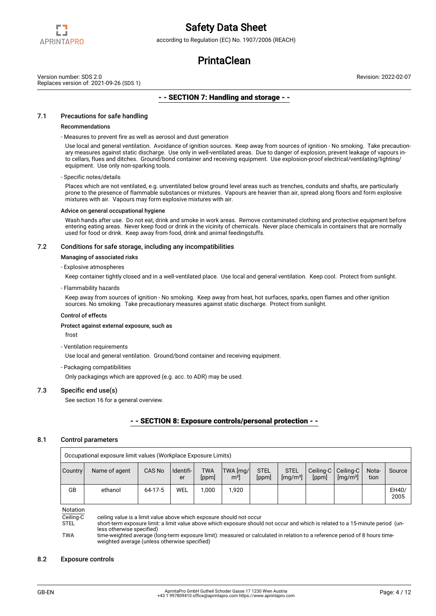

according to Regulation (EC) No. 1907/2006 (REACH)

## **PrintaClean**

Version number: SDS 2.0 Replaces version of: 2021-09-26 (SDS 1) Revision: 2022-02-07

## - - SECTION 7: Handling and storage - -

## 7.1 Precautions for safe handling

#### Recommendations

- Measures to prevent fire as well as aerosol and dust generation

Use local and general ventilation. Avoidance of ignition sources. Keep away from sources of ignition - No smoking. Take precautionary measures against static discharge. Use only in well-ventilated areas. Due to danger of explosion, prevent leakage of vapours into cellars, flues and ditches. Ground/bond container and receiving equipment. Use explosion-proof electrical/ventilating/lighting/ equipment. Use only non-sparking tools.

#### - Specific notes/details

Places which are not ventilated, e.g. unventilated below ground level areas such as trenches, conduits and shafts, are particularly prone to the presence of flammable substances or mixtures. Vapours are heavier than air, spread along floors and form explosive mixtures with air. Vapours may form explosive mixtures with air.

#### Advice on general occupational hygiene

Wash hands after use. Do not eat, drink and smoke in work areas. Remove contaminated clothing and protective equipment before entering eating areas. Never keep food or drink in the vicinity of chemicals. Never place chemicals in containers that are normally used for food or drink. Keep away from food, drink and animal feedingstuffs.

### 7.2 Conditions for safe storage, including any incompatibilities

#### Managing of associated risks

#### - Explosive atmospheres

Keep container tightly closed and in a well-ventilated place. Use local and general ventilation. Keep cool. Protect from sunlight.

#### - Flammability hazards

Keep away from sources of ignition - No smoking. Keep away from heat, hot surfaces, sparks, open flames and other ignition sources. No smoking. Take precautionary measures against static discharge. Protect from sunlight.

#### Control of effects

#### Protect against external exposure, such as

frost

- Ventilation requirements

Use local and general ventilation. Ground/bond container and receiving equipment.

#### - Packaging compatibilities

Only packagings which are approved (e.g. acc. to ADR) may be used.

### 7.3 Specific end use(s)

See section 16 for a general overview.

## - - SECTION 8: Exposure controls/personal protection - -

#### 8.1 Control parameters

| Occupational exposure limit values (Workplace Exposure Limits) |               |         |                 |                     |                            |                      |                                              |       |                                                          |               |               |
|----------------------------------------------------------------|---------------|---------|-----------------|---------------------|----------------------------|----------------------|----------------------------------------------|-------|----------------------------------------------------------|---------------|---------------|
| Country                                                        | Name of agent | CAS No  | Identifi-<br>er | <b>TWA</b><br>[ppm] | TWA [mg/<br>m <sup>3</sup> | <b>STEL</b><br>[ppm] | <b>STEL</b><br>$\left[\frac{mq}{m^3}\right]$ | [ppm] | Ceiling-C   Ceiling-C  <br>$\left[\frac{mq}{m^3}\right]$ | Nota-<br>tion | Source        |
| GB                                                             | ethanol       | 64-17-5 | WEL             | 1.000               | 1.920                      |                      |                                              |       |                                                          |               | EH40/<br>2005 |

Notation

 $\overline{\text{Ceiling-C}}$  ceiling value is a limit value above which exposure should not occur<br>STEL short-term exposure limit: a limit value above which exposure should

short-term exposure limit: a limit value above which exposure should not occur and which is related to a 15-minute period (unless otherwise specified)

TWA time-weighted average (long-term exposure limit): measured or calculated in relation to a reference period of 8 hours timeweighted average (unless otherwise specified)

### 8.2 Exposure controls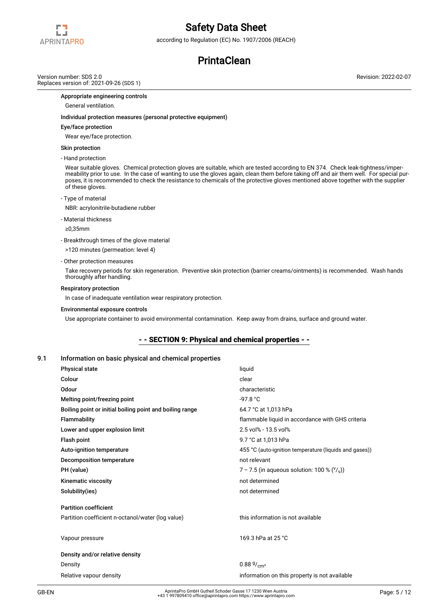

according to Regulation (EC) No. 1907/2006 (REACH)

# **PrintaClean**

Version number: SDS 2.0 Replaces version of: 2021-09-26 (SDS 1) Revision: 2022-02-07

Appropriate engineering controls

General ventilation.

#### Individual protection measures (personal protective equipment)

#### Eye/face protection

Wear eye/face protection.

#### Skin protection

- Hand protection

Wear suitable gloves. Chemical protection gloves are suitable, which are tested according to EN 374. Check leak-tightness/impermeability prior to use. In the case of wanting to use the gloves again, clean them before taking off and air them well. For special purposes, it is recommended to check the resistance to chemicals of the protective gloves mentioned above together with the supplier of these gloves.

- Type of material

NBR: acrylonitrile-butadiene rubber

- Material thickness

≥0,35mm

- Breakthrough times of the glove material

>120 minutes (permeation: level 4)

- Other protection measures

Take recovery periods for skin regeneration. Preventive skin protection (barrier creams/ointments) is recommended. Wash hands thoroughly after handling.

#### Respiratory protection

In case of inadequate ventilation wear respiratory protection.

#### Environmental exposure controls

Use appropriate container to avoid environmental contamination. Keep away from drains, surface and ground water.

### - - SECTION 9: Physical and chemical properties - -

### 9.1 Information on basic physical and chemical properties

| <b>Physical state</b>                                    | liquid                                                      |
|----------------------------------------------------------|-------------------------------------------------------------|
| Colour                                                   | clear                                                       |
| Odour                                                    | characteristic                                              |
| Melting point/freezing point                             | $-97.8 °C$                                                  |
| Boiling point or initial boiling point and boiling range | 64.7 °C at 1,013 hPa                                        |
| <b>Flammability</b>                                      | flammable liquid in accordance with GHS criteria            |
| Lower and upper explosion limit                          | 2.5 vol% - 13.5 vol%                                        |
| Flash point                                              | 9.7 °C at 1,013 hPa                                         |
| Auto-ignition temperature                                | 455 °C (auto-ignition temperature (liquids and gases))      |
| Decomposition temperature                                | not relevant                                                |
| PH (value)                                               | 7 – 7.5 (in aqueous solution: 100 % $({}^{\vee}/_{\vee})$ ) |
| Kinematic viscosity                                      | not determined                                              |
| Solubility(ies)                                          | not determined                                              |
| <b>Partition coefficient</b>                             |                                                             |
| Partition coefficient n-octanol/water (log value)        | this information is not available                           |
| Vapour pressure                                          | 169.3 hPa at 25 °C                                          |
| Density and/or relative density                          |                                                             |
| Density                                                  | $0.88\frac{9}{\text{cm}^3}$                                 |
| Relative vapour density                                  | information on this property is not available               |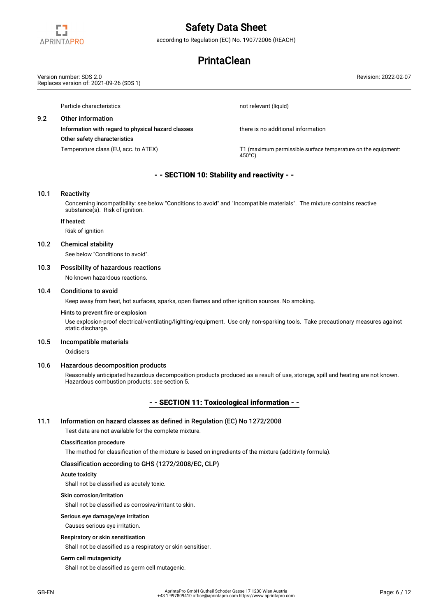

according to Regulation (EC) No. 1907/2006 (REACH)

## **PrintaClean**

Particle characteristics not relevant (liquid) 9.2 Other information Information with regard to physical hazard classes there is no additional information Other safety characteristics Temperature class (EU, acc. to ATEX) TEM THE THE THE THE CONSIDENTIAL THE INTERNATION THE EQUIPMENT: 450°C) - - SECTION 10: Stability and reactivity - - 10.1 Reactivity Concerning incompatibility: see below "Conditions to avoid" and "Incompatible materials". The mixture contains reactive substance(s). Risk of ignition. If heated: Risk of ignition 10.2 Chemical stability See below "Conditions to avoid". 10.3 Possibility of hazardous reactions No known hazardous reactions. Version number: SDS 2.0 Replaces version of: 2021-09-26 (SDS 1) Revision: 2022-02-07

## 10.4 Conditions to avoid

Keep away from heat, hot surfaces, sparks, open flames and other ignition sources. No smoking.

#### Hints to prevent fire or explosion

Use explosion-proof electrical/ventilating/lighting/equipment. Use only non-sparking tools. Take precautionary measures against static discharge.

#### 10.5 Incompatible materials

**Oxidisers** 

#### 10.6 Hazardous decomposition products

Reasonably anticipated hazardous decomposition products produced as a result of use, storage, spill and heating are not known. Hazardous combustion products: see section 5.

## - - SECTION 11: Toxicological information - -

## 11.1 Information on hazard classes as defined in Regulation (EC) No 1272/2008

Test data are not available for the complete mixture.

### Classification procedure

The method for classification of the mixture is based on ingredients of the mixture (additivity formula).

## Classification according to GHS (1272/2008/EC, CLP)

## Acute toxicity

Shall not be classified as acutely toxic.

### Skin corrosion/irritation

Shall not be classified as corrosive/irritant to skin.

## Serious eye damage/eye irritation

Causes serious eye irritation.

## Respiratory or skin sensitisation

Shall not be classified as a respiratory or skin sensitiser.

## Germ cell mutagenicity

Shall not be classified as germ cell mutagenic.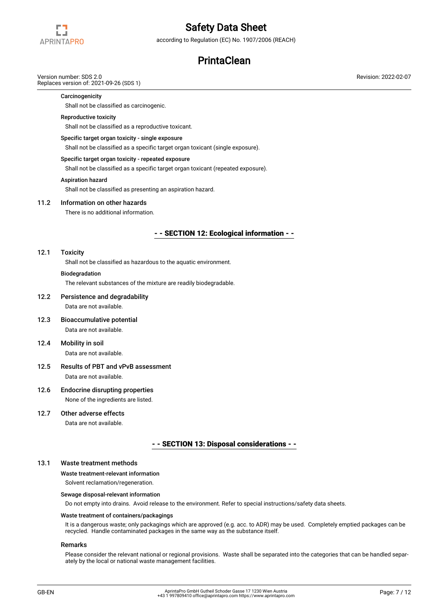

according to Regulation (EC) No. 1907/2006 (REACH)

## **PrintaClean**

## Version number: SDS 2.0

Replaces version of: 2021-09-26 (SDS 1)

### **Carcinogenicity**

Shall not be classified as carcinogenic.

### Reproductive toxicity

Shall not be classified as a reproductive toxicant.

#### Specific target organ toxicity - single exposure

Shall not be classified as a specific target organ toxicant (single exposure).

#### Specific target organ toxicity - repeated exposure

Shall not be classified as a specific target organ toxicant (repeated exposure).

### Aspiration hazard

Shall not be classified as presenting an aspiration hazard.

## 11.2 Information on other hazards

There is no additional information.

## - - SECTION 12: Ecological information - -

#### 12.1 Toxicity

Shall not be classified as hazardous to the aquatic environment.

#### **Biodegradation**

The relevant substances of the mixture are readily biodegradable.

## 12.2 Persistence and degradability Data are not available.

- 12.3 Bioaccumulative potential Data are not available.
- 12.4 Mobility in soil Data are not available.
- 12.5 Results of PBT and vPvB assessment Data are not available.

# 12.6 Endocrine disrupting properties

None of the ingredients are listed.

## 12.7 Other adverse effects

Data are not available.

## - - SECTION 13: Disposal considerations - -

## 13.1 Waste treatment methods

## Waste treatment-relevant information

Solvent reclamation/regeneration.

#### Sewage disposal-relevant information

Do not empty into drains. Avoid release to the environment. Refer to special instructions/safety data sheets.

### Waste treatment of containers/packagings

It is a dangerous waste; only packagings which are approved (e.g. acc. to ADR) may be used. Completely emptied packages can be recycled. Handle contaminated packages in the same way as the substance itself.

### Remarks

Please consider the relevant national or regional provisions. Waste shall be separated into the categories that can be handled separately by the local or national waste management facilities.

Revision: 2022-02-07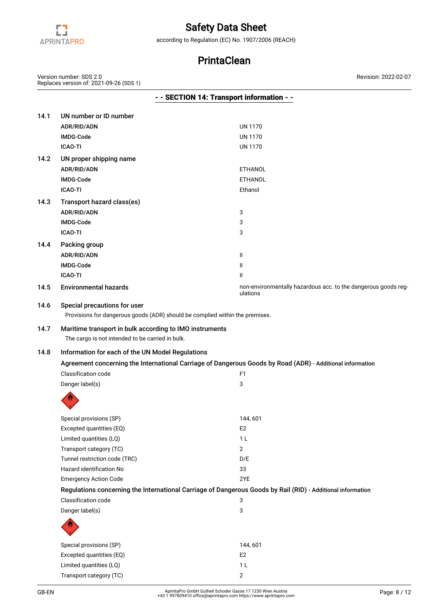

according to Regulation (EC) No. 1907/2006 (REACH)

# **PrintaClean**

Version number: SDS 2.0 Replaces version of: 2021-09-26 (SDS 1) Revision: 2022-02-07

|              |                                                                                                                                             | - - SECTION 14: Transport information - -                                                                   |
|--------------|---------------------------------------------------------------------------------------------------------------------------------------------|-------------------------------------------------------------------------------------------------------------|
| 14.1         | UN number or ID number                                                                                                                      |                                                                                                             |
|              | ADR/RID/ADN                                                                                                                                 | <b>UN 1170</b>                                                                                              |
|              | IMDG-Code                                                                                                                                   | <b>UN 1170</b>                                                                                              |
|              | <b>ICAO-TI</b>                                                                                                                              | <b>UN 1170</b>                                                                                              |
| 14.2         | UN proper shipping name                                                                                                                     |                                                                                                             |
|              | ADR/RID/ADN                                                                                                                                 | <b>ETHANOL</b>                                                                                              |
|              | IMDG-Code                                                                                                                                   | <b>ETHANOL</b>                                                                                              |
|              | <b>ICAO-TI</b>                                                                                                                              | Ethanol                                                                                                     |
| 14.3         | Transport hazard class(es)                                                                                                                  |                                                                                                             |
|              | ADR/RID/ADN                                                                                                                                 | 3                                                                                                           |
|              | IMDG-Code                                                                                                                                   | 3                                                                                                           |
|              | <b>ICAO-TI</b>                                                                                                                              | 3                                                                                                           |
| 14.4         | Packing group                                                                                                                               |                                                                                                             |
|              | ADR/RID/ADN                                                                                                                                 | Ш                                                                                                           |
|              | IMDG-Code                                                                                                                                   | Ш                                                                                                           |
|              | <b>ICAO-TI</b>                                                                                                                              | Ш                                                                                                           |
| 14.5         | <b>Environmental hazards</b>                                                                                                                | non-environmentally hazardous acc. to the dangerous goods reg-<br>ulations                                  |
| 14.6<br>14.7 | Special precautions for user<br>Maritime transport in bulk according to IMO instruments<br>The cargo is not intended to be carried in bulk. | Provisions for dangerous goods (ADR) should be complied within the premises.                                |
| 14.8         | Information for each of the UN Model Regulations                                                                                            |                                                                                                             |
|              |                                                                                                                                             | Agreement concerning the International Carriage of Dangerous Goods by Road (ADR) - Additional information   |
|              | Classification code                                                                                                                         | F <sub>1</sub>                                                                                              |
|              | Danger label(s)                                                                                                                             | 3                                                                                                           |
|              |                                                                                                                                             |                                                                                                             |
|              |                                                                                                                                             |                                                                                                             |
|              | Special provisions (SP)                                                                                                                     | 144,601                                                                                                     |
|              | Excepted quantities (EQ)                                                                                                                    | E <sub>2</sub>                                                                                              |
|              | Limited quantities (LQ)                                                                                                                     | 1 <sub>L</sub>                                                                                              |
|              | Transport category (TC)                                                                                                                     | $\overline{2}$                                                                                              |
|              | Tunnel restriction code (TRC)                                                                                                               | D/E                                                                                                         |
|              | Hazard identification No                                                                                                                    | 33                                                                                                          |
|              | <b>Emergency Action Code</b>                                                                                                                | 2YE                                                                                                         |
|              |                                                                                                                                             | Regulations concerning the International Carriage of Dangerous Goods by Rail (RID) - Additional information |
|              | Classification code                                                                                                                         | 3                                                                                                           |
|              | Danger label(s)                                                                                                                             | 3                                                                                                           |
|              |                                                                                                                                             |                                                                                                             |
|              | Special provisions (SP)                                                                                                                     | 144,601                                                                                                     |
|              | Excepted quantities (EQ)                                                                                                                    | E <sub>2</sub>                                                                                              |
|              | Limited quantities (LQ)                                                                                                                     | 1 <sub>L</sub>                                                                                              |
|              | Transport category (TC)                                                                                                                     | $\overline{2}$                                                                                              |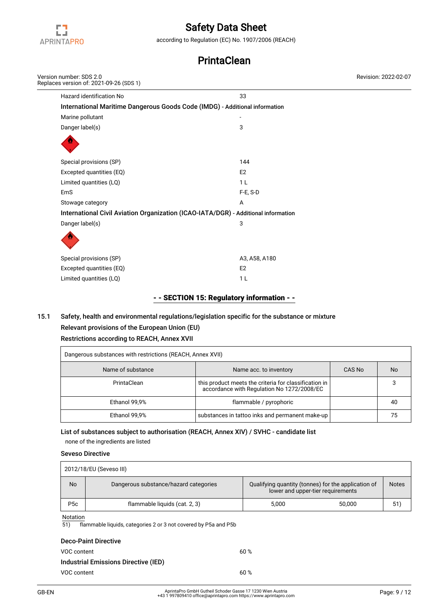

according to Regulation (EC) No. 1907/2006 (REACH)

# **PrintaClean**

| Version number: SDS 2.0<br>Replaces version of: 2021-09-26 (SDS 1)                 |                | Revision: 2022-02-07 |
|------------------------------------------------------------------------------------|----------------|----------------------|
| Hazard identification No                                                           | 33             |                      |
| International Maritime Dangerous Goods Code (IMDG) - Additional information        |                |                      |
| Marine pollutant                                                                   |                |                      |
| Danger label(s)                                                                    | 3              |                      |
|                                                                                    |                |                      |
| Special provisions (SP)                                                            | 144            |                      |
| Excepted quantities (EQ)                                                           | E <sub>2</sub> |                      |
| Limited quantities (LQ)                                                            | 1 <sub>L</sub> |                      |
| EmS                                                                                | F-E, S-D       |                      |
| Stowage category                                                                   | Α              |                      |
| International Civil Aviation Organization (ICAO-IATA/DGR) - Additional information |                |                      |
| Danger label(s)                                                                    | 3              |                      |
|                                                                                    |                |                      |
| Special provisions (SP)                                                            | A3, A58, A180  |                      |
| Excepted quantities (EQ)                                                           | E <sub>2</sub> |                      |
| Limited quantities (LQ)                                                            | 1 <sub>L</sub> |                      |

## - - SECTION 15: Regulatory information - -

## 15.1 Safety, health and environmental regulations/legislation specific for the substance or mixture Relevant provisions of the European Union (EU)

# Restrictions according to REACH, Annex XVII

| Dangerous substances with restrictions (REACH, Annex XVII) |                                                                                                     |        |           |  |  |
|------------------------------------------------------------|-----------------------------------------------------------------------------------------------------|--------|-----------|--|--|
| Name of substance                                          | Name acc. to inventory                                                                              | CAS No | <b>No</b> |  |  |
| PrintaClean                                                | this product meets the criteria for classification in<br>accordance with Regulation No 1272/2008/EC |        |           |  |  |
| Ethanol 99,9%                                              | flammable / pyrophoric                                                                              |        | 40        |  |  |
| Ethanol 99,9%                                              | substances in tattoo inks and permanent make-up                                                     |        |           |  |  |

## List of substances subject to authorisation (REACH, Annex XIV) / SVHC - candidate list

none of the ingredients are listed

## Seveso Directive

| 2012/18/EU (Seveso III) |                                       |                                                                                          |        |              |  |  |
|-------------------------|---------------------------------------|------------------------------------------------------------------------------------------|--------|--------------|--|--|
| <b>No</b>               | Dangerous substance/hazard categories | Qualifying quantity (tonnes) for the application of<br>lower and upper-tier requirements |        | <b>Notes</b> |  |  |
| P <sub>5</sub> c        | flammable liquids (cat. 2, 3)         | 5.000                                                                                    | 50.000 | 51           |  |  |
| $N = + + + -$           |                                       |                                                                                          |        |              |  |  |

### Notation

51) flammable liquids, categories 2 or 3 not covered by P5a and P5b

| <b>Deco-Paint Directive</b>                 |      |
|---------------------------------------------|------|
| VOC content                                 | 60%  |
| <b>Industrial Emissions Directive (IED)</b> |      |
| VOC content                                 | 60 % |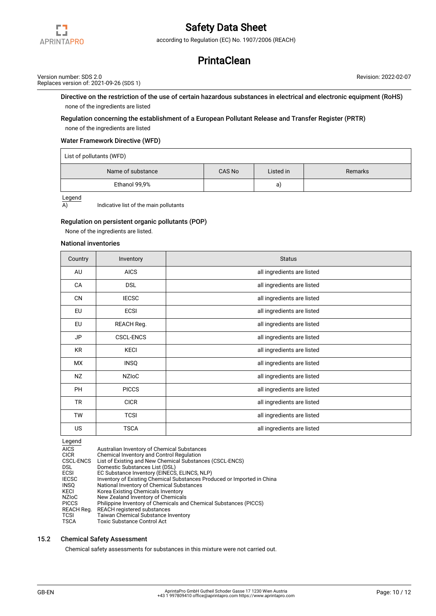

according to Regulation (EC) No. 1907/2006 (REACH)

## **PrintaClean**

Version number: SDS 2.0 Replaces version of: 2021-09-26 (SDS 1) Revision: 2022-02-07

Directive on the restriction of the use of certain hazardous substances in electrical and electronic equipment (RoHS) none of the ingredients are listed

## Regulation concerning the establishment of a European Pollutant Release and Transfer Register (PRTR)

none of the ingredients are listed

## Water Framework Directive (WFD)

List of pollutants (WFD)

| Name of substance | CAS No | Listed in | Remarks |  |  |
|-------------------|--------|-----------|---------|--|--|
| Ethanol 99,9%     |        | a)        |         |  |  |

Legend

 $\overline{A}$  Indicative list of the main pollutants

### Regulation on persistent organic pollutants (POP)

None of the ingredients are listed.

### National inventories

| Country   | Inventory        | <b>Status</b>              |
|-----------|------------------|----------------------------|
| AU        | <b>AICS</b>      | all ingredients are listed |
| CA        | <b>DSL</b>       | all ingredients are listed |
| <b>CN</b> | <b>IECSC</b>     | all ingredients are listed |
| EU        | <b>ECSI</b>      | all ingredients are listed |
| <b>EU</b> | REACH Reg.       | all ingredients are listed |
| JP        | <b>CSCL-ENCS</b> | all ingredients are listed |
| <b>KR</b> | <b>KECI</b>      | all ingredients are listed |
| <b>MX</b> | <b>INSQ</b>      | all ingredients are listed |
| <b>NZ</b> | <b>NZIOC</b>     | all ingredients are listed |
| <b>PH</b> | <b>PICCS</b>     | all ingredients are listed |
| <b>TR</b> | <b>CICR</b>      | all ingredients are listed |
| <b>TW</b> | <b>TCSI</b>      | all ingredients are listed |
| <b>US</b> | <b>TSCA</b>      | all ingredients are listed |

- IECSC Inventory of Existing Chemical Substances Produced or Imported in China
- INSQ National Inventory of Chemical Substances
- KECI Korea Existing Chemicals Inventory
- NZIoC New Zealand Inventory of Chemicals
- PICCS Philippine Inventory of Chemicals and Chemical Substances (PICCS)
- REACH Reg. REACH registered substances<br>TCSI Taiwan Chemical Substance In TCSI Taiwan Chemical Substance Inventory<br>TSCA Toxic Substance Control Act
- Toxic Substance Control Act

### 15.2 Chemical Safety Assessment

Chemical safety assessments for substances in this mixture were not carried out.

Legend<br>AICS<br>CICR Australian Inventory of Chemical Substances

CICR Chemical Inventory and Control Regulation<br>CSCL-ENCS List of Existing and New Chemical Substand CSCL-ENCS List of Existing and New Chemical Substances (CSCL-ENCS)

DSL Domestic Substances List (DSL)

ECSI EC Substance Inventory (EINECS, ELINCS, NLP)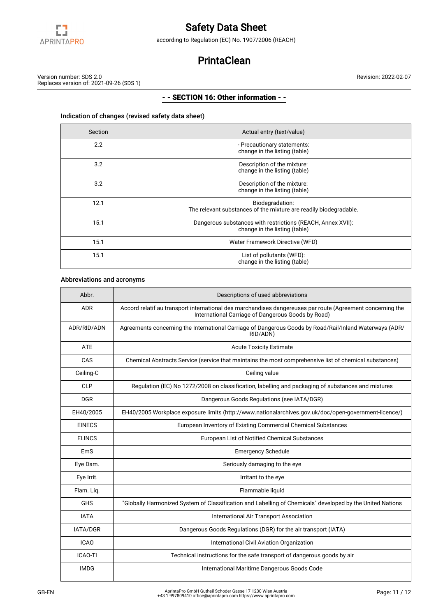

according to Regulation (EC) No. 1907/2006 (REACH)

# **PrintaClean**

Revision: 2022-02-07

Version number: SDS 2.0 Replaces version of: 2021-09-26 (SDS 1)

## - - SECTION 16: Other information - -

## Indication of changes (revised safety data sheet)

| Section | Actual entry (text/value)                                                                    |
|---------|----------------------------------------------------------------------------------------------|
| 2.2     | - Precautionary statements:<br>change in the listing (table)                                 |
| 3.2     | Description of the mixture:<br>change in the listing (table)                                 |
| 3.2     | Description of the mixture:<br>change in the listing (table)                                 |
| 12.1    | Biodegradation:<br>The relevant substances of the mixture are readily biodegradable.         |
| 15.1    | Dangerous substances with restrictions (REACH, Annex XVII):<br>change in the listing (table) |
| 15.1    | Water Framework Directive (WFD)                                                              |
| 15.1    | List of pollutants (WFD):<br>change in the listing (table)                                   |

## Abbreviations and acronyms

| Abbr.          | Descriptions of used abbreviations                                                                                                                               |
|----------------|------------------------------------------------------------------------------------------------------------------------------------------------------------------|
| <b>ADR</b>     | Accord relatif au transport international des marchandises dangereuses par route (Agreement concerning the<br>International Carriage of Dangerous Goods by Road) |
| ADR/RID/ADN    | Agreements concerning the International Carriage of Dangerous Goods by Road/Rail/Inland Waterways (ADR/<br>RID/ADN)                                              |
| <b>ATE</b>     | <b>Acute Toxicity Estimate</b>                                                                                                                                   |
| CAS            | Chemical Abstracts Service (service that maintains the most comprehensive list of chemical substances)                                                           |
| Ceiling-C      | Ceiling value                                                                                                                                                    |
| <b>CLP</b>     | Regulation (EC) No 1272/2008 on classification, labelling and packaging of substances and mixtures                                                               |
| <b>DGR</b>     | Dangerous Goods Regulations (see IATA/DGR)                                                                                                                       |
| EH40/2005      | EH40/2005 Workplace exposure limits (http://www.nationalarchives.gov.uk/doc/open-government-licence/)                                                            |
| <b>EINECS</b>  | European Inventory of Existing Commercial Chemical Substances                                                                                                    |
| <b>ELINCS</b>  | European List of Notified Chemical Substances                                                                                                                    |
| EmS            | <b>Emergency Schedule</b>                                                                                                                                        |
| Eye Dam.       | Seriously damaging to the eye                                                                                                                                    |
| Eye Irrit.     | Irritant to the eye                                                                                                                                              |
| Flam. Liq.     | Flammable liquid                                                                                                                                                 |
| <b>GHS</b>     | "Globally Harmonized System of Classification and Labelling of Chemicals" developed by the United Nations                                                        |
| <b>IATA</b>    | International Air Transport Association                                                                                                                          |
| IATA/DGR       | Dangerous Goods Regulations (DGR) for the air transport (IATA)                                                                                                   |
| <b>ICAO</b>    | International Civil Aviation Organization                                                                                                                        |
| <b>ICAO-TI</b> | Technical instructions for the safe transport of dangerous goods by air                                                                                          |
| <b>IMDG</b>    | International Maritime Dangerous Goods Code                                                                                                                      |